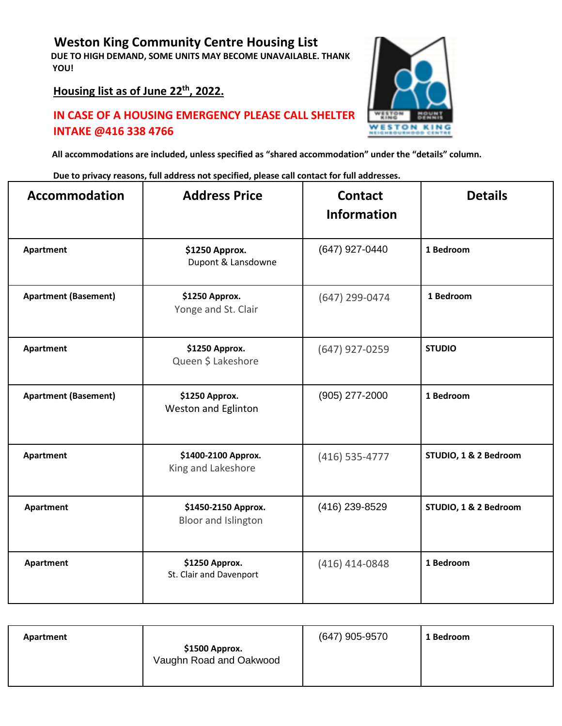## **Weston King Community Centre Housing List**

**DUE TO HIGH DEMAND, SOME UNITS MAY BECOME UNAVAILABLE. THANK YOU!**

**Housing list as of June 22 th , 2022.**

## **IN CASE OF A HOUSING EMERGENCY PLEASE CALL SHELTER INTAKE @416 338 4766**



**All accommodations are included, unless specified as "shared accommodation" under the "details" column.**

**Due to privacy reasons, full address not specified, please call contact for full addresses.**

| Accommodation               | <b>Address Price</b>                       | <b>Contact</b><br><b>Information</b> | <b>Details</b>        |
|-----------------------------|--------------------------------------------|--------------------------------------|-----------------------|
| Apartment                   | \$1250 Approx.<br>Dupont & Lansdowne       | (647) 927-0440                       | 1 Bedroom             |
| <b>Apartment (Basement)</b> | \$1250 Approx.<br>Yonge and St. Clair      | (647) 299-0474                       | 1 Bedroom             |
| Apartment                   | \$1250 Approx.<br>Queen \$ Lakeshore       | (647) 927-0259                       | <b>STUDIO</b>         |
| <b>Apartment (Basement)</b> | \$1250 Approx.<br>Weston and Eglinton      | (905) 277-2000                       | 1 Bedroom             |
| Apartment                   | \$1400-2100 Approx.<br>King and Lakeshore  | (416) 535-4777                       | STUDIO, 1 & 2 Bedroom |
| Apartment                   | \$1450-2150 Approx.<br>Bloor and Islington | (416) 239-8529                       | STUDIO, 1 & 2 Bedroom |
| Apartment                   | \$1250 Approx.<br>St. Clair and Davenport  | $(416)$ 414-0848                     | 1 Bedroom             |

| Apartment |                                           | (647) 905-9570 | 1 Bedroom |
|-----------|-------------------------------------------|----------------|-----------|
|           | \$1500 Approx.<br>Vaughn Road and Oakwood |                |           |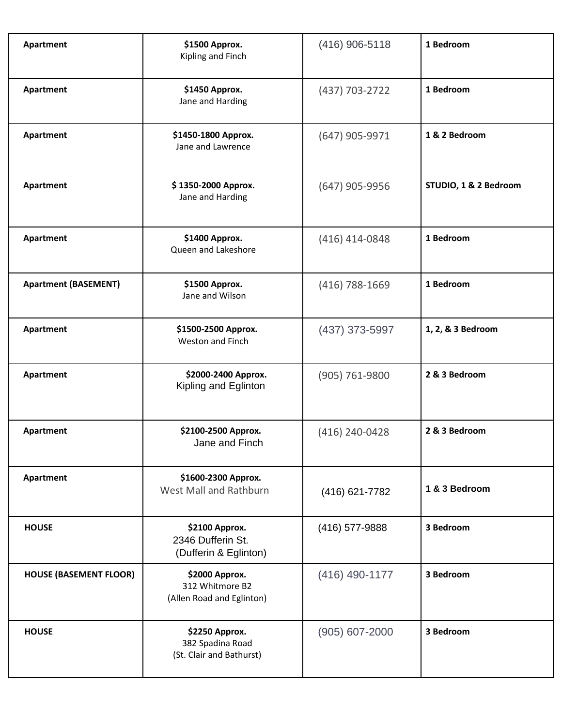| Apartment                     | \$1500 Approx.<br>Kipling and Finch                            | $(416)$ 906-5118 | 1 Bedroom             |
|-------------------------------|----------------------------------------------------------------|------------------|-----------------------|
| Apartment                     | \$1450 Approx.<br>Jane and Harding                             | (437) 703-2722   | 1 Bedroom             |
| Apartment                     | \$1450-1800 Approx.<br>Jane and Lawrence                       | $(647)$ 905-9971 | 1 & 2 Bedroom         |
| Apartment                     | \$1350-2000 Approx.<br>Jane and Harding                        | (647) 905-9956   | STUDIO, 1 & 2 Bedroom |
| Apartment                     | \$1400 Approx.<br>Queen and Lakeshore                          | $(416)$ 414-0848 | 1 Bedroom             |
| <b>Apartment (BASEMENT)</b>   | \$1500 Approx.<br>Jane and Wilson                              | (416) 788-1669   | 1 Bedroom             |
| Apartment                     | \$1500-2500 Approx.<br>Weston and Finch                        | $(437)$ 373-5997 | 1, 2, & 3 Bedroom     |
| Apartment                     | \$2000-2400 Approx.<br>Kipling and Eglinton                    | (905) 761-9800   | 2 & 3 Bedroom         |
| Apartment                     | \$2100-2500 Approx.<br>Jane and Finch                          | (416) 240-0428   | 2 & 3 Bedroom         |
| Apartment                     | \$1600-2300 Approx.<br>West Mall and Rathburn                  | (416) 621-7782   | 1 & 3 Bedroom         |
| <b>HOUSE</b>                  | \$2100 Approx.<br>2346 Dufferin St.<br>(Dufferin & Eglinton)   | (416) 577-9888   | 3 Bedroom             |
| <b>HOUSE (BASEMENT FLOOR)</b> | \$2000 Approx.<br>312 Whitmore B2<br>(Allen Road and Eglinton) | $(416)$ 490-1177 | 3 Bedroom             |
| <b>HOUSE</b>                  | \$2250 Approx.<br>382 Spadina Road<br>(St. Clair and Bathurst) | (905) 607-2000   | 3 Bedroom             |